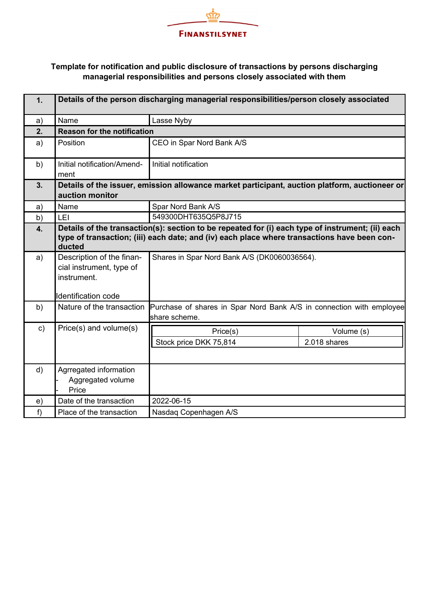

| 1.               | Details of the person discharging managerial responsibilities/person closely associated                                                                                                                   |                                                                                       |                            |  |  |
|------------------|-----------------------------------------------------------------------------------------------------------------------------------------------------------------------------------------------------------|---------------------------------------------------------------------------------------|----------------------------|--|--|
| a)               | Name                                                                                                                                                                                                      | Lasse Nyby                                                                            |                            |  |  |
| 2.               | <b>Reason for the notification</b>                                                                                                                                                                        |                                                                                       |                            |  |  |
| a)               | Position                                                                                                                                                                                                  | CEO in Spar Nord Bank A/S                                                             |                            |  |  |
| b)               | Initial notification/Amend-<br>ment                                                                                                                                                                       | Initial notification                                                                  |                            |  |  |
| 3.               | Details of the issuer, emission allowance market participant, auction platform, auctioneer or<br>auction monitor                                                                                          |                                                                                       |                            |  |  |
| a)               | Name                                                                                                                                                                                                      | Spar Nord Bank A/S                                                                    |                            |  |  |
| b)               | LEI                                                                                                                                                                                                       | 549300DHT635Q5P8J715                                                                  |                            |  |  |
| $\overline{4}$ . | Details of the transaction(s): section to be repeated for (i) each type of instrument; (ii) each<br>type of transaction; (iii) each date; and (iv) each place where transactions have been con-<br>ducted |                                                                                       |                            |  |  |
| a)               | Description of the finan-<br>cial instrument, type of<br>instrument.<br>Identification code                                                                                                               | Shares in Spar Nord Bank A/S (DK0060036564).                                          |                            |  |  |
| b)               | Nature of the transaction                                                                                                                                                                                 | Purchase of shares in Spar Nord Bank A/S in connection with employee<br>share scheme. |                            |  |  |
| $\mathbf{c})$    | Price(s) and volume(s)                                                                                                                                                                                    | Price(s)<br>Stock price DKK 75,814                                                    | Volume (s)<br>2.018 shares |  |  |
| d)               | Agrregated information<br>Aggregated volume<br>Price                                                                                                                                                      |                                                                                       |                            |  |  |
| e)               | Date of the transaction                                                                                                                                                                                   | 2022-06-15                                                                            |                            |  |  |
| f                | Place of the transaction                                                                                                                                                                                  | Nasdaq Copenhagen A/S                                                                 |                            |  |  |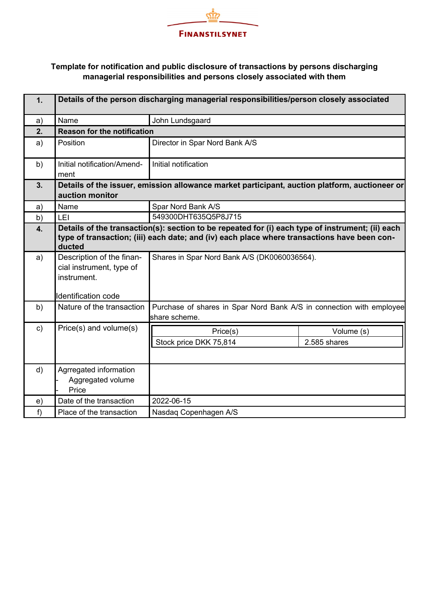

| 1.            | Details of the person discharging managerial responsibilities/person closely associated                                                                                                                   |                                                                                       |                            |  |  |
|---------------|-----------------------------------------------------------------------------------------------------------------------------------------------------------------------------------------------------------|---------------------------------------------------------------------------------------|----------------------------|--|--|
| a)            | Name                                                                                                                                                                                                      | John Lundsgaard                                                                       |                            |  |  |
| 2.            | <b>Reason for the notification</b>                                                                                                                                                                        |                                                                                       |                            |  |  |
| a)            | Position                                                                                                                                                                                                  | Director in Spar Nord Bank A/S                                                        |                            |  |  |
| b)            | Initial notification/Amend-<br>ment                                                                                                                                                                       | Initial notification                                                                  |                            |  |  |
| 3.            | Details of the issuer, emission allowance market participant, auction platform, auctioneer or<br>auction monitor                                                                                          |                                                                                       |                            |  |  |
| a)            | Name                                                                                                                                                                                                      | Spar Nord Bank A/S                                                                    |                            |  |  |
| b)            | LEI                                                                                                                                                                                                       | 549300DHT635Q5P8J715                                                                  |                            |  |  |
| 4.            | Details of the transaction(s): section to be repeated for (i) each type of instrument; (ii) each<br>type of transaction; (iii) each date; and (iv) each place where transactions have been con-<br>ducted |                                                                                       |                            |  |  |
| a)            | Description of the finan-<br>cial instrument, type of<br>instrument.<br>Identification code                                                                                                               | Shares in Spar Nord Bank A/S (DK0060036564).                                          |                            |  |  |
| b)            | Nature of the transaction                                                                                                                                                                                 | Purchase of shares in Spar Nord Bank A/S in connection with employee<br>share scheme. |                            |  |  |
| $\mathsf{c})$ | Price(s) and volume(s)                                                                                                                                                                                    | Price(s)<br>Stock price DKK 75,814                                                    | Volume (s)<br>2.585 shares |  |  |
| d)            | Agrregated information<br>Aggregated volume<br>Price                                                                                                                                                      |                                                                                       |                            |  |  |
| e)            | Date of the transaction                                                                                                                                                                                   | 2022-06-15                                                                            |                            |  |  |
| f             | Place of the transaction                                                                                                                                                                                  | Nasdaq Copenhagen A/S                                                                 |                            |  |  |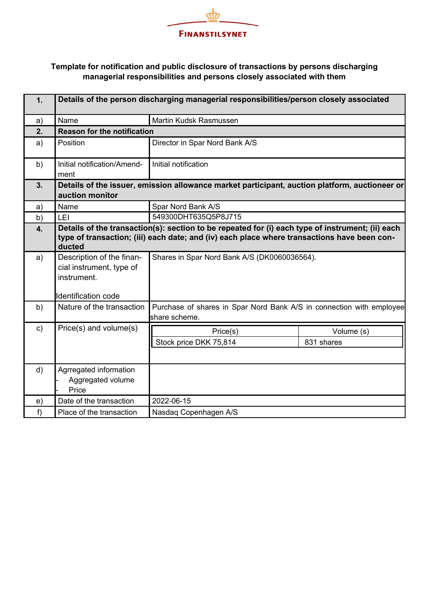

| 1.            | Details of the person discharging managerial responsibilities/person closely associated                                                                                                                   |                                                                                       |                          |  |  |
|---------------|-----------------------------------------------------------------------------------------------------------------------------------------------------------------------------------------------------------|---------------------------------------------------------------------------------------|--------------------------|--|--|
| a)            | Name                                                                                                                                                                                                      | Martin Kudsk Rasmussen                                                                |                          |  |  |
| 2.            | <b>Reason for the notification</b>                                                                                                                                                                        |                                                                                       |                          |  |  |
| a)            | Position                                                                                                                                                                                                  | Director in Spar Nord Bank A/S                                                        |                          |  |  |
| b)            | Initial notification/Amend-<br>ment                                                                                                                                                                       | Initial notification                                                                  |                          |  |  |
| 3.            | Details of the issuer, emission allowance market participant, auction platform, auctioneer or<br>auction monitor                                                                                          |                                                                                       |                          |  |  |
| a)            | Name                                                                                                                                                                                                      | Spar Nord Bank A/S                                                                    |                          |  |  |
| b)            | LEI                                                                                                                                                                                                       | 549300DHT635Q5P8J715                                                                  |                          |  |  |
| 4.            | Details of the transaction(s): section to be repeated for (i) each type of instrument; (ii) each<br>type of transaction; (iii) each date; and (iv) each place where transactions have been con-<br>ducted |                                                                                       |                          |  |  |
| a)            | Description of the finan-<br>cial instrument, type of<br>instrument.<br>Identification code                                                                                                               | Shares in Spar Nord Bank A/S (DK0060036564).                                          |                          |  |  |
| b)            | Nature of the transaction                                                                                                                                                                                 | Purchase of shares in Spar Nord Bank A/S in connection with employee<br>share scheme. |                          |  |  |
| $\mathsf{c})$ | Price(s) and volume(s)                                                                                                                                                                                    | Price(s)<br>Stock price DKK 75,814                                                    | Volume (s)<br>831 shares |  |  |
| d)            | Agrregated information<br>Aggregated volume<br>Price                                                                                                                                                      |                                                                                       |                          |  |  |
| e)            | Date of the transaction                                                                                                                                                                                   | 2022-06-15                                                                            |                          |  |  |
| f             | Place of the transaction                                                                                                                                                                                  | Nasdaq Copenhagen A/S                                                                 |                          |  |  |